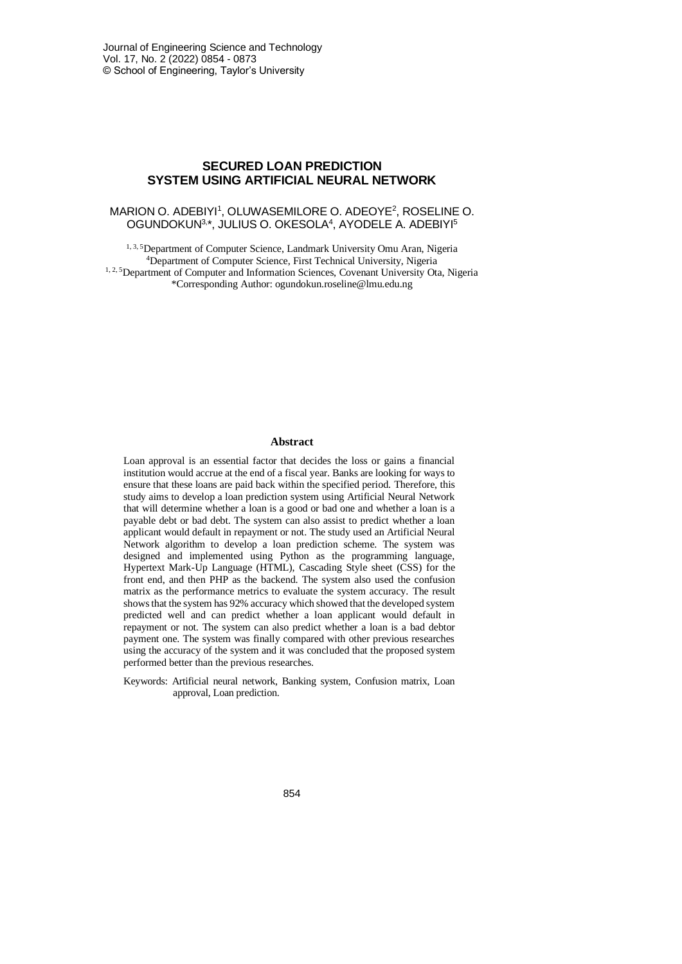# **SECURED LOAN PREDICTION SYSTEM USING ARTIFICIAL NEURAL NETWORK**

### MARION O. ADEBIYI<sup>1</sup>, OLUWASEMILORE O. ADEOYE<sup>2</sup>, ROSELINE O. OGUNDOKUN<sup>3,\*</sup>, JULIUS O. OKESOLA<sup>4</sup>, AYODELE A. ADEBIYI<sup>5</sup>

1, 3, 5Department of Computer Science, Landmark University Omu Aran, Nigeria <sup>4</sup>Department of Computer Science, First Technical University, Nigeria <sup>1, 2, 5</sup>Department of Computer and Information Sciences, Covenant University Ota, Nigeria \*Corresponding Author[: ogundokun.roseline@lmu.edu.ng](mailto:ogundokun.roseline@lmu.edu.ng)

#### **Abstract**

Loan approval is an essential factor that decides the loss or gains a financial institution would accrue at the end of a fiscal year. Banks are looking for ways to ensure that these loans are paid back within the specified period. Therefore, this study aims to develop a loan prediction system using Artificial Neural Network that will determine whether a loan is a good or bad one and whether a loan is a payable debt or bad debt. The system can also assist to predict whether a loan applicant would default in repayment or not. The study used an Artificial Neural Network algorithm to develop a loan prediction scheme. The system was designed and implemented using Python as the programming language, Hypertext Mark-Up Language (HTML), Cascading Style sheet (CSS) for the front end, and then PHP as the backend. The system also used the confusion matrix as the performance metrics to evaluate the system accuracy. The result shows that the system has 92% accuracy which showed that the developed system predicted well and can predict whether a loan applicant would default in repayment or not. The system can also predict whether a loan is a bad debtor payment one. The system was finally compared with other previous researches using the accuracy of the system and it was concluded that the proposed system performed better than the previous researches.

Keywords: Artificial neural network, Banking system, Confusion matrix, Loan approval, Loan prediction.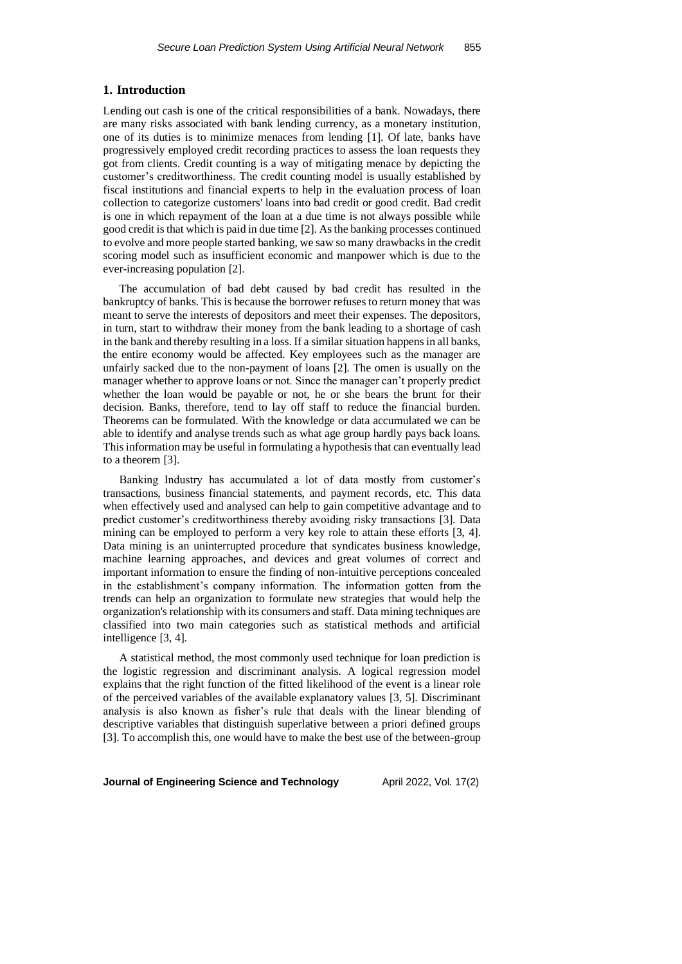### **1. Introduction**

Lending out cash is one of the critical responsibilities of a bank. Nowadays, there are many risks associated with bank lending currency, as a monetary institution, one of its duties is to minimize menaces from lending [1]. Of late, banks have progressively employed credit recording practices to assess the loan requests they got from clients. Credit counting is a way of mitigating menace by depicting the customer's creditworthiness. The credit counting model is usually established by fiscal institutions and financial experts to help in the evaluation process of loan collection to categorize customers' loans into bad credit or good credit. Bad credit is one in which repayment of the loan at a due time is not always possible while good credit is that which is paid in due time [2]. As the banking processes continued to evolve and more people started banking, we saw so many drawbacks in the credit scoring model such as insufficient economic and manpower which is due to the ever-increasing population [2].

The accumulation of bad debt caused by bad credit has resulted in the bankruptcy of banks. This is because the borrower refuses to return money that was meant to serve the interests of depositors and meet their expenses. The depositors, in turn, start to withdraw their money from the bank leading to a shortage of cash in the bank and thereby resulting in a loss. If a similar situation happens in all banks, the entire economy would be affected. Key employees such as the manager are unfairly sacked due to the non-payment of loans [2]. The omen is usually on the manager whether to approve loans or not. Since the manager can't properly predict whether the loan would be payable or not, he or she bears the brunt for their decision. Banks, therefore, tend to lay off staff to reduce the financial burden. Theorems can be formulated. With the knowledge or data accumulated we can be able to identify and analyse trends such as what age group hardly pays back loans. This information may be useful in formulating a hypothesis that can eventually lead to a theorem [3].

Banking Industry has accumulated a lot of data mostly from customer's transactions, business financial statements, and payment records, etc. This data when effectively used and analysed can help to gain competitive advantage and to predict customer's creditworthiness thereby avoiding risky transactions [3]. Data mining can be employed to perform a very key role to attain these efforts [3, 4]. Data mining is an uninterrupted procedure that syndicates business knowledge, machine learning approaches, and devices and great volumes of correct and important information to ensure the finding of non-intuitive perceptions concealed in the establishment's company information. The information gotten from the trends can help an organization to formulate new strategies that would help the organization's relationship with its consumers and staff. Data mining techniques are classified into two main categories such as statistical methods and artificial intelligence [3, 4].

A statistical method, the most commonly used technique for loan prediction is the logistic regression and discriminant analysis. A logical regression model explains that the right function of the fitted likelihood of the event is a linear role of the perceived variables of the available explanatory values [3, 5]. Discriminant analysis is also known as fisher's rule that deals with the linear blending of descriptive variables that distinguish superlative between a priori defined groups [3]. To accomplish this, one would have to make the best use of the between-group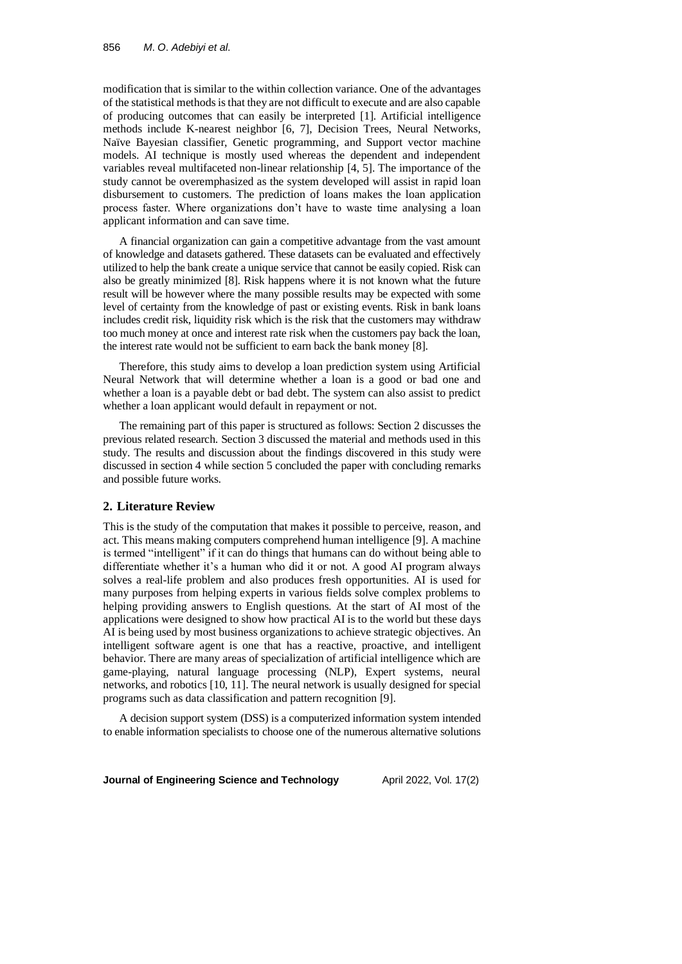modification that is similar to the within collection variance. One of the advantages of the statistical methods is that they are not difficult to execute and are also capable of producing outcomes that can easily be interpreted [1]. Artificial intelligence methods include K-nearest neighbor [6, 7], Decision Trees, Neural Networks, Naïve Bayesian classifier, Genetic programming, and Support vector machine models. AI technique is mostly used whereas the dependent and independent variables reveal multifaceted non-linear relationship [4, 5]. The importance of the study cannot be overemphasized as the system developed will assist in rapid loan disbursement to customers. The prediction of loans makes the loan application process faster. Where organizations don't have to waste time analysing a loan applicant information and can save time.

A financial organization can gain a competitive advantage from the vast amount of knowledge and datasets gathered. These datasets can be evaluated and effectively utilized to help the bank create a unique service that cannot be easily copied. Risk can also be greatly minimized [8]. Risk happens where it is not known what the future result will be however where the many possible results may be expected with some level of certainty from the knowledge of past or existing events. Risk in bank loans includes credit risk, liquidity risk which is the risk that the customers may withdraw too much money at once and interest rate risk when the customers pay back the loan, the interest rate would not be sufficient to earn back the bank money [8].

Therefore, this study aims to develop a loan prediction system using Artificial Neural Network that will determine whether a loan is a good or bad one and whether a loan is a payable debt or bad debt. The system can also assist to predict whether a loan applicant would default in repayment or not.

The remaining part of this paper is structured as follows: Section 2 discusses the previous related research. Section 3 discussed the material and methods used in this study. The results and discussion about the findings discovered in this study were discussed in section 4 while section 5 concluded the paper with concluding remarks and possible future works.

### **2. Literature Review**

This is the study of the computation that makes it possible to perceive, reason, and act. This means making computers comprehend human intelligence [9]. A machine is termed "intelligent" if it can do things that humans can do without being able to differentiate whether it's a human who did it or not. A good AI program always solves a real-life problem and also produces fresh opportunities. AI is used for many purposes from helping experts in various fields solve complex problems to helping providing answers to English questions. At the start of AI most of the applications were designed to show how practical AI is to the world but these days AI is being used by most business organizations to achieve strategic objectives. An intelligent software agent is one that has a reactive, proactive, and intelligent behavior. There are many areas of specialization of artificial intelligence which are game-playing, natural language processing (NLP), Expert systems, neural networks, and robotics [10, 11]. The neural network is usually designed for special programs such as data classification and pattern recognition [9].

A decision support system (DSS) is a computerized information system intended to enable information specialists to choose one of the numerous alternative solutions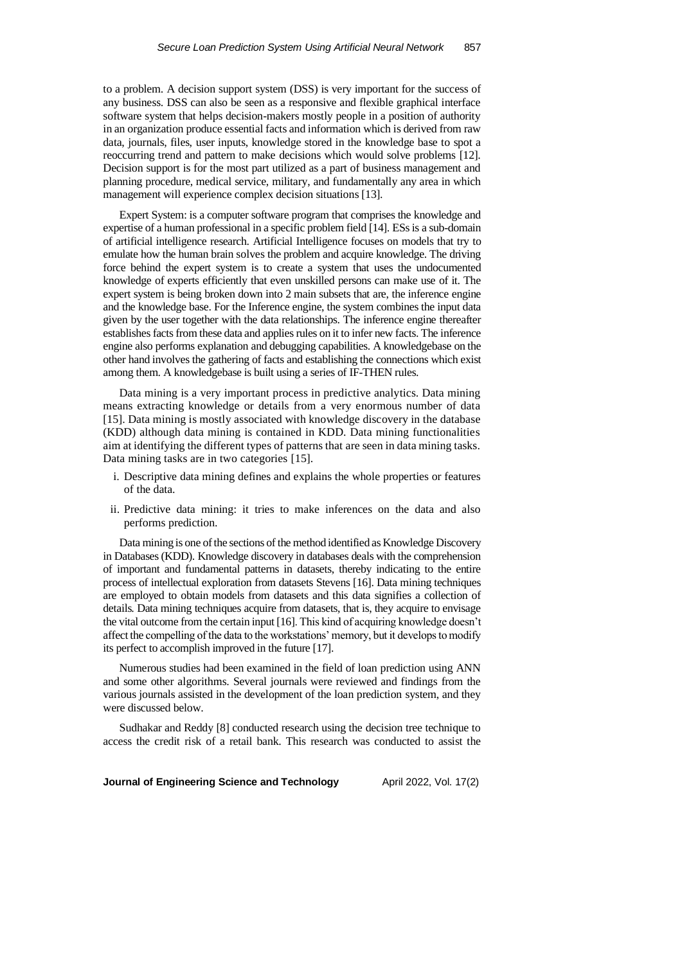to a problem. A decision support system (DSS) is very important for the success of any business. DSS can also be seen as a responsive and flexible graphical interface software system that helps decision-makers mostly people in a position of authority in an organization produce essential facts and information which is derived from raw data, journals, files, user inputs, knowledge stored in the knowledge base to spot a reoccurring trend and pattern to make decisions which would solve problems [12]. Decision support is for the most part utilized as a part of business management and planning procedure, medical service, military, and fundamentally any area in which management will experience complex decision situations [13].

Expert System: is a computer software program that comprises the knowledge and expertise of a human professional in a specific problem field [14]. ESs is a sub-domain of artificial intelligence research. Artificial Intelligence focuses on models that try to emulate how the human brain solves the problem and acquire knowledge. The driving force behind the expert system is to create a system that uses the undocumented knowledge of experts efficiently that even unskilled persons can make use of it. The expert system is being broken down into 2 main subsets that are, the inference engine and the knowledge base. For the Inference engine, the system combines the input data given by the user together with the data relationships. The inference engine thereafter establishes facts from these data and applies rules on it to infer new facts. The inference engine also performs explanation and debugging capabilities. A knowledgebase on the other hand involves the gathering of facts and establishing the connections which exist among them. A knowledgebase is built using a series of IF-THEN rules.

Data mining is a very important process in predictive analytics. Data mining means extracting knowledge or details from a very enormous number of data [15]. Data mining is mostly associated with knowledge discovery in the database (KDD) although data mining is contained in KDD. Data mining functionalities aim at identifying the different types of patterns that are seen in data mining tasks. Data mining tasks are in two categories [15].

- i. Descriptive data mining defines and explains the whole properties or features of the data.
- ii. Predictive data mining: it tries to make inferences on the data and also performs prediction.

Data mining is one of the sections of the method identified as Knowledge Discovery in Databases (KDD). Knowledge discovery in databases deals with the comprehension of important and fundamental patterns in datasets, thereby indicating to the entire process of intellectual exploration from datasets Stevens [16]. Data mining techniques are employed to obtain models from datasets and this data signifies a collection of details. Data mining techniques acquire from datasets, that is, they acquire to envisage the vital outcome from the certain input [16]. This kind of acquiring knowledge doesn't affect the compelling of the data to the workstations' memory, but it develops to modify its perfect to accomplish improved in the future [17].

Numerous studies had been examined in the field of loan prediction using ANN and some other algorithms. Several journals were reviewed and findings from the various journals assisted in the development of the loan prediction system, and they were discussed below.

Sudhakar and Reddy [8] conducted research using the decision tree technique to access the credit risk of a retail bank. This research was conducted to assist the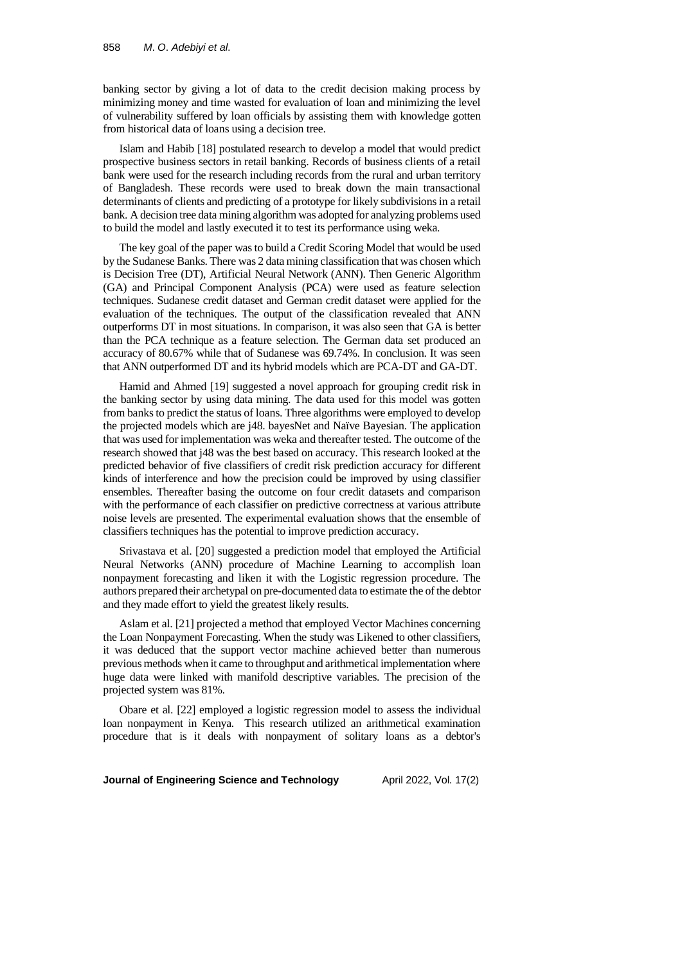banking sector by giving a lot of data to the credit decision making process by minimizing money and time wasted for evaluation of loan and minimizing the level of vulnerability suffered by loan officials by assisting them with knowledge gotten from historical data of loans using a decision tree.

Islam and Habib [18] postulated research to develop a model that would predict prospective business sectors in retail banking. Records of business clients of a retail bank were used for the research including records from the rural and urban territory of Bangladesh. These records were used to break down the main transactional determinants of clients and predicting of a prototype for likely subdivisions in a retail bank. A decision tree data mining algorithm was adopted for analyzing problems used to build the model and lastly executed it to test its performance using weka.

The key goal of the paper was to build a Credit Scoring Model that would be used by the Sudanese Banks. There was 2 data mining classification that was chosen which is Decision Tree (DT), Artificial Neural Network (ANN). Then Generic Algorithm (GA) and Principal Component Analysis (PCA) were used as feature selection techniques. Sudanese credit dataset and German credit dataset were applied for the evaluation of the techniques. The output of the classification revealed that ANN outperforms DT in most situations. In comparison, it was also seen that GA is better than the PCA technique as a feature selection. The German data set produced an accuracy of 80.67% while that of Sudanese was 69.74%. In conclusion. It was seen that ANN outperformed DT and its hybrid models which are PCA-DT and GA-DT.

Hamid and Ahmed [19] suggested a novel approach for grouping credit risk in the banking sector by using data mining. The data used for this model was gotten from banks to predict the status of loans. Three algorithms were employed to develop the projected models which are j48. bayesNet and Naïve Bayesian. The application that was used for implementation was weka and thereafter tested. The outcome of the research showed that j48 was the best based on accuracy. This research looked at the predicted behavior of five classifiers of credit risk prediction accuracy for different kinds of interference and how the precision could be improved by using classifier ensembles. Thereafter basing the outcome on four credit datasets and comparison with the performance of each classifier on predictive correctness at various attribute noise levels are presented. The experimental evaluation shows that the ensemble of classifiers techniques has the potential to improve prediction accuracy.

Srivastava et al. [20] suggested a prediction model that employed the Artificial Neural Networks (ANN) procedure of Machine Learning to accomplish loan nonpayment forecasting and liken it with the Logistic regression procedure. The authors prepared their archetypal on pre-documented data to estimate the of the debtor and they made effort to yield the greatest likely results.

Aslam et al. [21] projected a method that employed Vector Machines concerning the Loan Nonpayment Forecasting. When the study was Likened to other classifiers, it was deduced that the support vector machine achieved better than numerous previous methods when it came to throughput and arithmetical implementation where huge data were linked with manifold descriptive variables. The precision of the projected system was 81%.

Obare et al. [22] employed a logistic regression model to assess the individual loan nonpayment in Kenya. This research utilized an arithmetical examination procedure that is it deals with nonpayment of solitary loans as a debtor's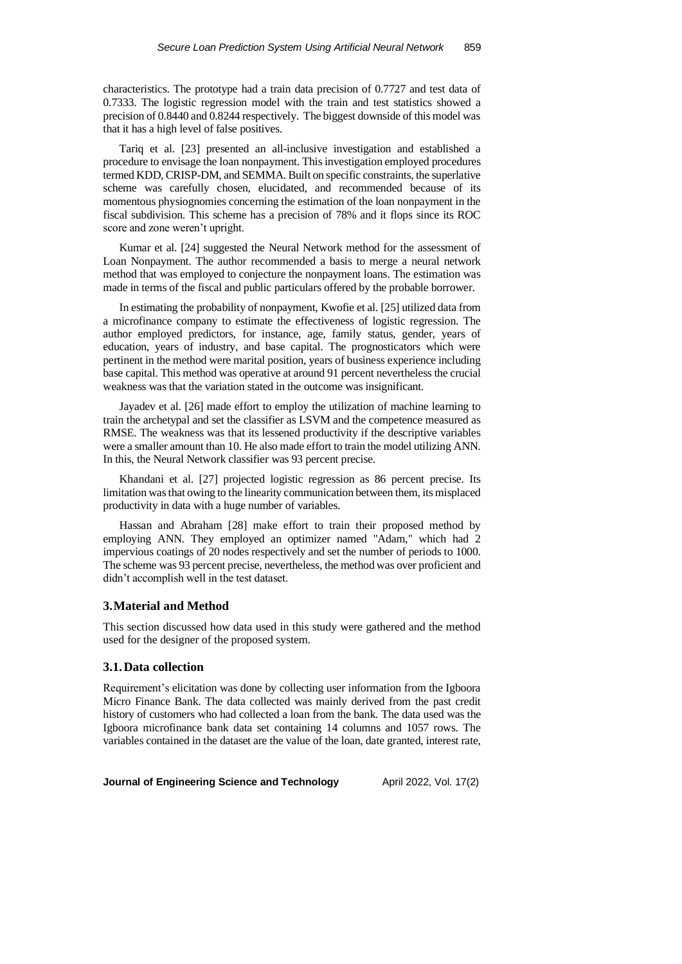characteristics. The prototype had a train data precision of 0.7727 and test data of 0.7333. The logistic regression model with the train and test statistics showed a precision of 0.8440 and 0.8244 respectively. The biggest downside of this model was that it has a high level of false positives.

Tariq et al. [23] presented an all-inclusive investigation and established a procedure to envisage the loan nonpayment. This investigation employed procedures termed KDD, CRISP-DM, and SEMMA. Built on specific constraints, the superlative scheme was carefully chosen, elucidated, and recommended because of its momentous physiognomies concerning the estimation of the loan nonpayment in the fiscal subdivision. This scheme has a precision of 78% and it flops since its ROC score and zone weren't upright.

Kumar et al. [24] suggested the Neural Network method for the assessment of Loan Nonpayment. The author recommended a basis to merge a neural network method that was employed to conjecture the nonpayment loans. The estimation was made in terms of the fiscal and public particulars offered by the probable borrower.

In estimating the probability of nonpayment, Kwofie et al. [25] utilized data from a microfinance company to estimate the effectiveness of logistic regression. The author employed predictors, for instance, age, family status, gender, years of education, years of industry, and base capital. The prognosticators which were pertinent in the method were marital position, years of business experience including base capital. This method was operative at around 91 percent nevertheless the crucial weakness was that the variation stated in the outcome was insignificant.

Jayadev et al. [26] made effort to employ the utilization of machine learning to train the archetypal and set the classifier as LSVM and the competence measured as RMSE. The weakness was that its lessened productivity if the descriptive variables were a smaller amount than 10. He also made effort to train the model utilizing ANN. In this, the Neural Network classifier was 93 percent precise.

Khandani et al. [27] projected logistic regression as 86 percent precise. Its limitation was that owing to the linearity communication between them, its misplaced productivity in data with a huge number of variables.

Hassan and Abraham [28] make effort to train their proposed method by employing ANN. They employed an optimizer named "Adam," which had 2 impervious coatings of 20 nodes respectively and set the number of periods to 1000. The scheme was 93 percent precise, nevertheless, the method was over proficient and didn't accomplish well in the test dataset.

### **3.Material and Method**

This section discussed how data used in this study were gathered and the method used for the designer of the proposed system.

### **3.1.Data collection**

Requirement's elicitation was done by collecting user information from the Igboora Micro Finance Bank. The data collected was mainly derived from the past credit history of customers who had collected a loan from the bank. The data used was the Igboora microfinance bank data set containing 14 columns and 1057 rows. The variables contained in the dataset are the value of the loan, date granted, interest rate,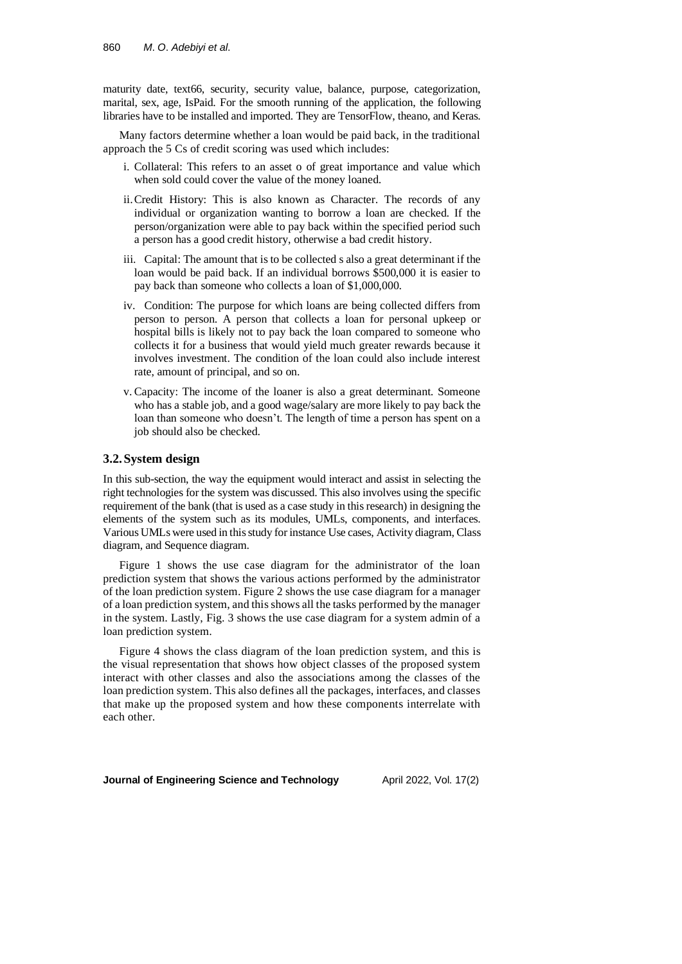maturity date, text66, security, security value, balance, purpose, categorization, marital, sex, age, IsPaid. For the smooth running of the application, the following libraries have to be installed and imported. They are TensorFlow, theano, and Keras.

Many factors determine whether a loan would be paid back, in the traditional approach the 5 Cs of credit scoring was used which includes:

- i. Collateral: This refers to an asset o of great importance and value which when sold could cover the value of the money loaned.
- ii.Credit History: This is also known as Character. The records of any individual or organization wanting to borrow a loan are checked. If the person/organization were able to pay back within the specified period such a person has a good credit history, otherwise a bad credit history.
- iii. Capital: The amount that is to be collected s also a great determinant if the loan would be paid back. If an individual borrows \$500,000 it is easier to pay back than someone who collects a loan of \$1,000,000.
- iv. Condition: The purpose for which loans are being collected differs from person to person. A person that collects a loan for personal upkeep or hospital bills is likely not to pay back the loan compared to someone who collects it for a business that would yield much greater rewards because it involves investment. The condition of the loan could also include interest rate, amount of principal, and so on.
- v. Capacity: The income of the loaner is also a great determinant. Someone who has a stable job, and a good wage/salary are more likely to pay back the loan than someone who doesn't. The length of time a person has spent on a job should also be checked.

### **3.2.System design**

In this sub-section, the way the equipment would interact and assist in selecting the right technologies for the system was discussed. This also involves using the specific requirement of the bank (that is used as a case study in this research) in designing the elements of the system such as its modules, UMLs, components, and interfaces. Various UMLs were used in this study for instance Use cases, Activity diagram, Class diagram, and Sequence diagram.

Figure 1 shows the use case diagram for the administrator of the loan prediction system that shows the various actions performed by the administrator of the loan prediction system. Figure 2 shows the use case diagram for a manager of a loan prediction system, and this shows all the tasks performed by the manager in the system. Lastly, Fig. 3 shows the use case diagram for a system admin of a loan prediction system.

Figure 4 shows the class diagram of the loan prediction system, and this is the visual representation that shows how object classes of the proposed system interact with other classes and also the associations among the classes of the loan prediction system. This also defines all the packages, interfaces, and classes that make up the proposed system and how these components interrelate with each other.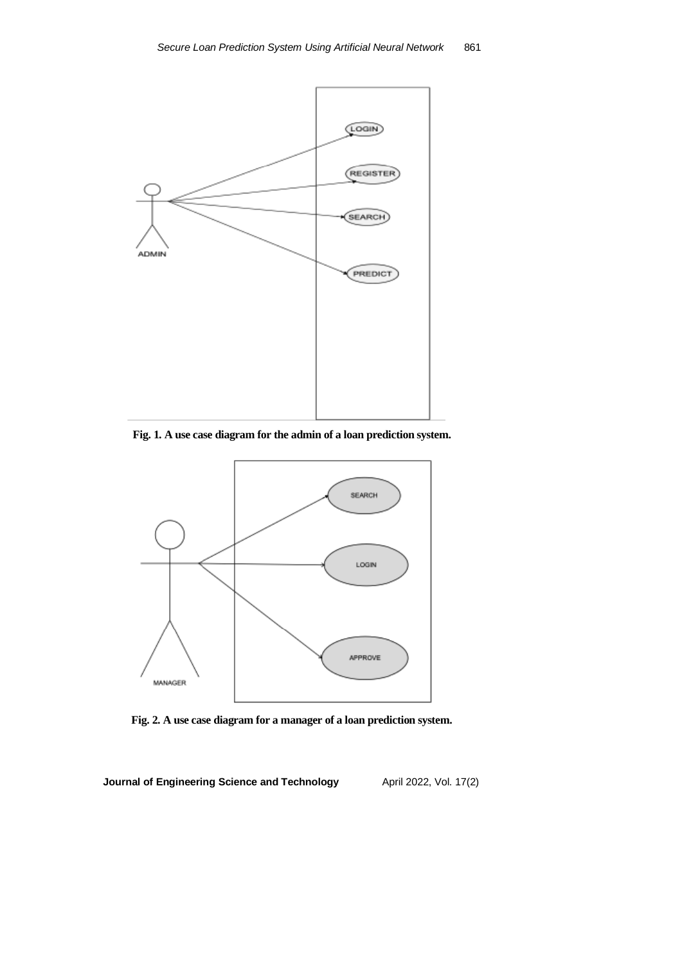

**Fig. 1. A use case diagram for the admin of a loan prediction system.**



**Fig. 2. A use case diagram for a manager of a loan prediction system.**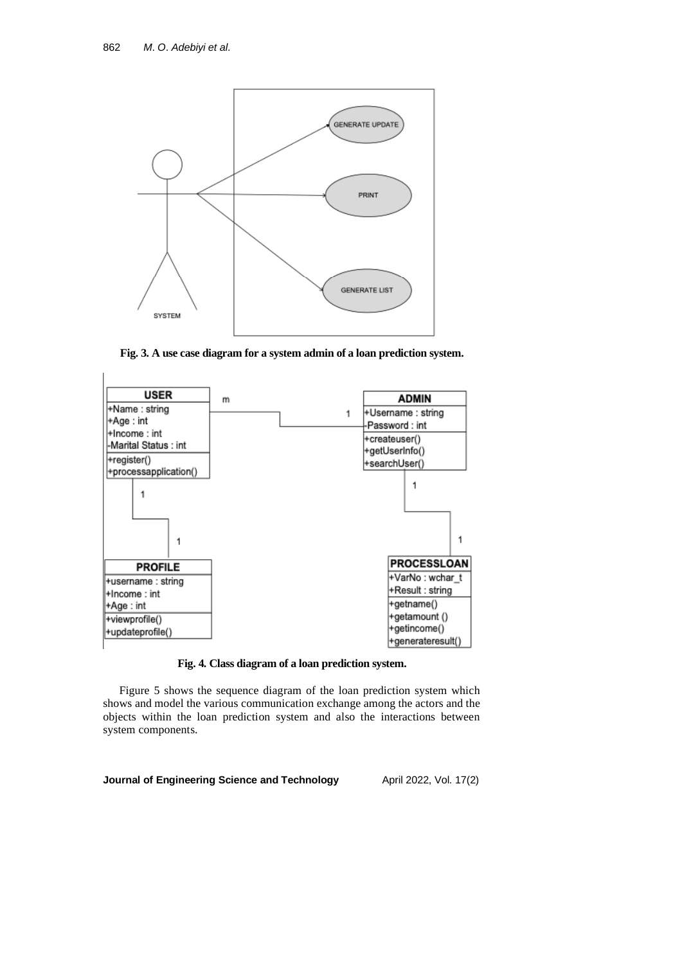

**Fig. 3. A use case diagram for a system admin of a loan prediction system.**



**Fig. 4. Class diagram of a loan prediction system.**

Figure 5 shows the sequence diagram of the loan prediction system which shows and model the various communication exchange among the actors and the objects within the loan prediction system and also the interactions between system components.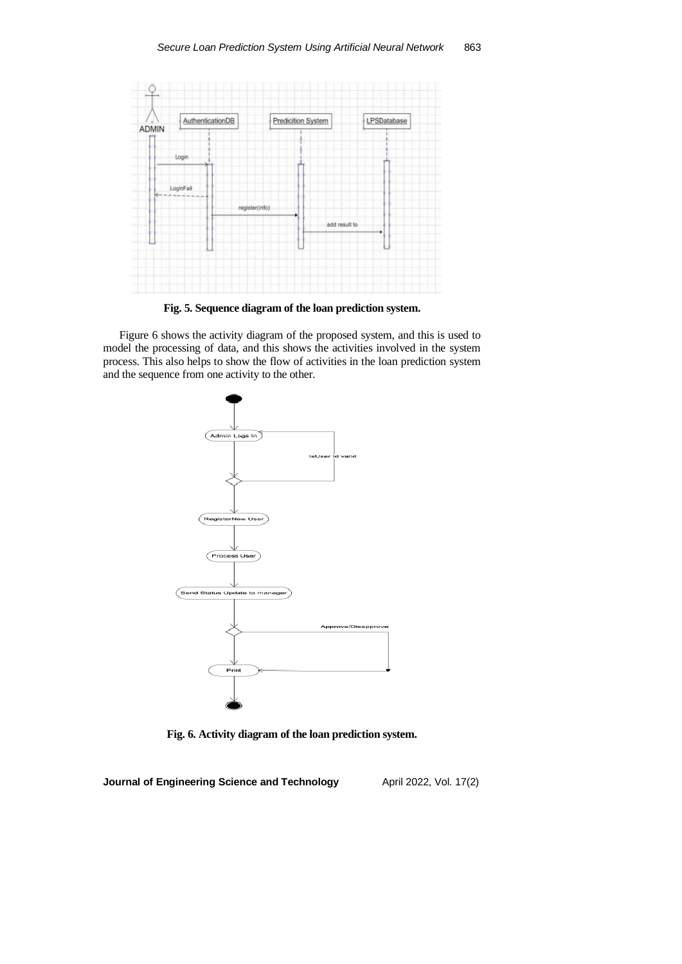

**Fig. 5. Sequence diagram of the loan prediction system.**

Figure 6 shows the activity diagram of the proposed system, and this is used to model the processing of data, and this shows the activities involved in the system process. This also helps to show the flow of activities in the loan prediction system and the sequence from one activity to the other.



**Fig. 6. Activity diagram of the loan prediction system.**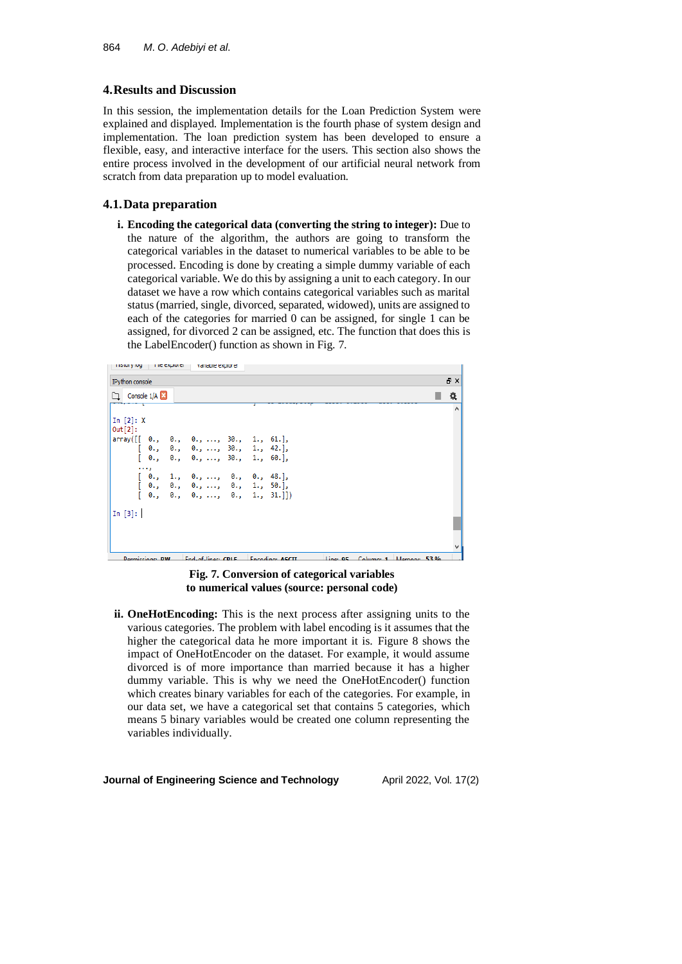## **4.Results and Discussion**

In this session, the implementation details for the Loan Prediction System were explained and displayed. Implementation is the fourth phase of system design and implementation. The loan prediction system has been developed to ensure a flexible, easy, and interactive interface for the users. This section also shows the entire process involved in the development of our artificial neural network from scratch from data preparation up to model evaluation.

## **4.1.Data preparation**

**i. Encoding the categorical data (converting the string to integer):** Due to the nature of the algorithm, the authors are going to transform the categorical variables in the dataset to numerical variables to be able to be processed. Encoding is done by creating a simple dummy variable of each categorical variable. We do this by assigning a unit to each category. In our dataset we have a row which contains categorical variables such as marital status (married, single, divorced, separated, widowed), units are assigned to each of the categories for married 0 can be assigned, for single 1 can be assigned, for divorced 2 can be assigned, etc. The function that does this is the LabelEncoder() function as shown in Fig. 7.



## **Fig. 7. Conversion of categorical variables to numerical values (source: personal code)**

**ii. OneHotEncoding:** This is the next process after assigning units to the various categories. The problem with label encoding is it assumes that the higher the categorical data he more important it is. Figure 8 shows the impact of OneHotEncoder on the dataset. For example, it would assume divorced is of more importance than married because it has a higher dummy variable. This is why we need the OneHotEncoder() function which creates binary variables for each of the categories. For example, in our data set, we have a categorical set that contains 5 categories, which means 5 binary variables would be created one column representing the variables individually.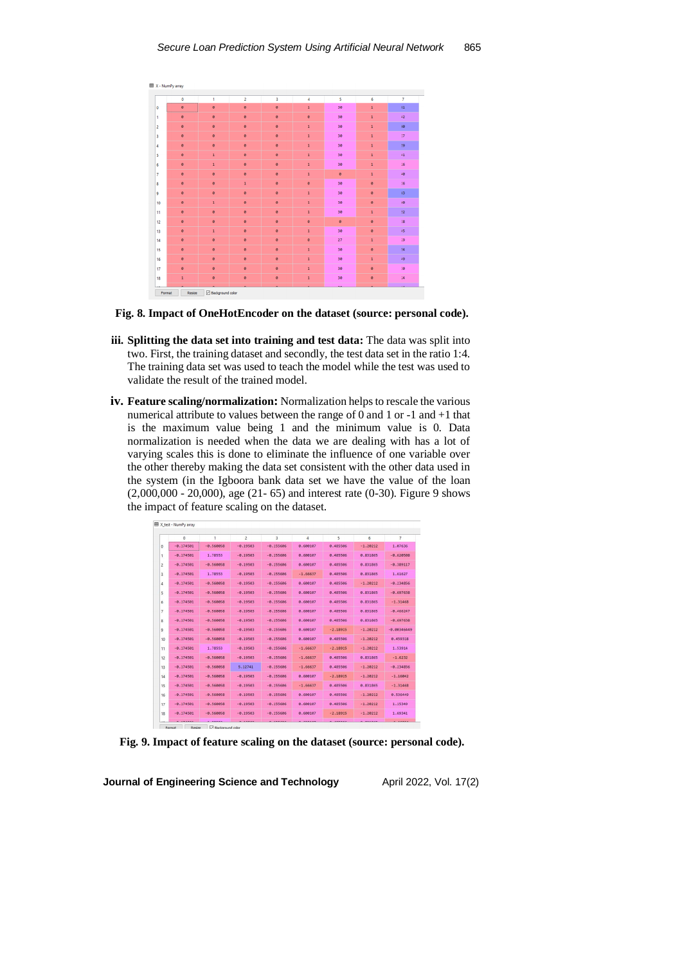|                | $\bullet$      | 1              | $\overline{\mathbf{c}}$ | 3         | $\overline{4}$ | 5         | 6            | $\overline{7}$ |
|----------------|----------------|----------------|-------------------------|-----------|----------------|-----------|--------------|----------------|
|                | ø              | ø              | ø                       | ø         | $\mathbf 1$    | 30        | $\mathbf 1$  | 61             |
| 0              |                |                |                         |           |                |           |              |                |
| 1              | $\theta$       | $\bullet$      | $\bullet$               | $\theta$  | $\bullet$      | 30        | $\mathbf 1$  | 42             |
| $\overline{a}$ | $\theta$       | $\bullet$      | $\bullet$               | ø         | $\mathbf{1}$   | 30        | $\mathbf{1}$ | 60             |
| 3              | $\bullet$      | $\bullet$      | $\bullet$               | ø         | $\mathbf{1}$   | 30        | $\mathbf{1}$ | 37             |
| 4              | ø              | $\pmb{\theta}$ | $\bullet$               | ø         | $\mathbf 1$    | 30        | $\mathbf{1}$ | 59             |
| 5              | ø              | $\mathbf 1$    | $\bullet$               | $\bullet$ | $\overline{1}$ | 30        | $\mathbf{1}$ | 41             |
| 6              | $\theta$       | $\mathbf 1$    | $\bullet$               | $\bullet$ | $\mathbf 1$    | 30        | $\mathbf{1}$ | 26             |
| $\overline{7}$ | $\theta$       | ø              | ø                       | ø         | $\mathbf 1$    | $\bullet$ | $\mathbf 1$  | 40             |
| 8              | $\theta$       | $\pmb{\theta}$ | $\mathbf{1}$            | $\theta$  | $\pmb{\theta}$ | 30        | $\theta$     | 36             |
| 9              | $\theta$       | $\pmb{\theta}$ | $\bullet$               | ø         | $\mathbf 1$    | 30        | ø            | 63             |
| 10             | $\pmb{\Theta}$ | $\mathbf 1$    | ø                       | $\theta$  | $\mathbf 1$    | 30        | $\theta$     | 40             |
| 11             | $\pmb{\Theta}$ | $\bullet$      | ø                       | ø         | $\mathbf 1$    | 30        | $\mathbf 1$  | 52             |
| 12             | $\theta$       | $\bullet$      | $\bullet$               | $\theta$  | $\bullet$      | $\bullet$ | $\theta$     | 38             |
| 13             | $\bullet$      | $\mathbf 1$    | $\bullet$               | $\bullet$ | $\overline{1}$ | 30        | ø            | 45             |
| 14             | $\theta$       | $\bullet$      | $\bullet$               | ø         | ø              | 27        | $\mathbf{1}$ | 29             |
| 15             | $\bullet$      | $\bullet$      | $\bullet$               | ø         | $\overline{1}$ | 30        | ø            | 54             |
| 16             | ø              | $\pmb{\theta}$ | ø                       | $\bullet$ | $\mathbf 1$    | 30        | $\mathbf{1}$ | 49             |
| 17             | $\theta$       | $\pmb{\theta}$ | $\bullet$               | $\theta$  | $\overline{1}$ | 30        | $\theta$     | 30             |
| 18             | $\mathbf{1}$   | $\theta$       | ø                       | $\theta$  | $\mathbf{1}$   | 30        | $\theta$     | 24             |
|                |                |                |                         |           |                | жň.       |              | ш              |



- **iii. Splitting the data set into training and test data:** The data was split into two. First, the training dataset and secondly, the test data set in the ratio 1:4. The training data set was used to teach the model while the test was used to validate the result of the trained model.
- **iv. Feature scaling/normalization:** Normalization helps to rescale the various numerical attribute to values between the range of 0 and 1 or -1 and +1 that is the maximum value being 1 and the minimum value is 0. Data normalization is needed when the data we are dealing with has a lot of varying scales this is done to eliminate the influence of one variable over the other thereby making the data set consistent with the other data used in the system (in the Igboora bank data set we have the value of the loan (2,000,000 - 20,000), age (21- 65) and interest rate (0-30). Figure 9 shows the impact of feature scaling on the dataset.

|                         | $\Omega$    | 1           | $\overline{c}$ | 3           | 4          | 5          | 6          | $\overline{7}$ |
|-------------------------|-------------|-------------|----------------|-------------|------------|------------|------------|----------------|
| $\Omega$                | $-0.174501$ | $-0.560058$ | $-0.19503$     | $-0.155606$ | 0.600107   | 0.485506   | $-1.20212$ | 1.07636        |
| 1                       | $-0.174501$ | 1.78553     | $-0.19503$     | $-0.155606$ | 0.600107   | 0.485506   | 0.831865   | $-0.620508$    |
| $\overline{c}$          | $-0.174501$ | $-0.560058$ | $-0.19503$     | $-0.155606$ | 0.600107   | 0.485506   | 0.831865   | $-0.389117$    |
| $\overline{\mathbf{3}}$ | $-0.174501$ | 1.78553     | $-0.19503$     | $-0.155606$ | $-1.66637$ | 0.485506   | 0.831865   | 1.61627        |
| $\overline{4}$          | $-0.174501$ | $-0.560058$ | $-0.19503$     | $-0.155606$ | 0.600107   | 0.485506   | $-1.20212$ | $-0.234856$    |
| 5                       | $-0.174501$ | $-0.560058$ | $-0.19503$     | $-0.155606$ | 0.600107   | 0.485506   | 0.831865   | $-0.697638$    |
| 6                       | $-0.174501$ | $-0.560058$ | $-0.19503$     | $-0.155606$ | 0.600107   | 0.485506   | 0.831865   | $-1.31468$     |
| $\overline{7}$          | $-0.174501$ | $-0.560058$ | $-0.19503$     | $-0.155606$ | 0.600107   | 0.485506   | 0.831865   | $-0.466247$    |
| 8                       | $-0.174501$ | $-0.560058$ | $-0.19503$     | $-0.155606$ | 0.600107   | 0.485506   | 0.831865   | $-0.697638$    |
| ٩                       | $-0.174501$ | $-0.560058$ | $-0.19503$     | $-0.155606$ | 0.600107   | $-2.18915$ | $-1.20212$ | $-0.00346449$  |
| 10                      | $-0.174501$ | $-0.560058$ | $-0.19503$     | $-0.155606$ | 0.600107   | 0.485506   | $-1.20212$ | 0.459318       |
| 11                      | $-0.174501$ | 1.78553     | $-0.19503$     | $-0.155606$ | $-1.66637$ | $-2.18915$ | $-1.20212$ | 1.53914        |
| 12                      | $-0.174501$ | $-0.560058$ | $-0.19503$     | $-0.155606$ | $-1.66637$ | 0.485506   | 0.831865   | $-1.6232$      |
| 13                      | $-0.174501$ | $-0.560058$ | 5.12741        | $-0.155606$ | $-1.66637$ | 0.485506   | $-1.20212$ | $-0.234856$    |
| 14                      | $-0.174501$ | $-0.560058$ | $-0.19503$     | $-0.155606$ | 0.600107   | $-2.18915$ | $-1.20212$ | $-1.16842$     |
| 15                      | $-0.174501$ | $-0.560058$ | $-0.19503$     | $-0.155606$ | $-1,66637$ | 0.485506   | 0.831865   | $-1.31468$     |
| 16                      | $-0.174501$ | $-0.560058$ | $-0.19503$     | $-0.155606$ | 0.600107   | 0.485506   | $-1.20212$ | 0.536449       |
| 17                      | $-0.174501$ | $-0.560058$ | $-0.19503$     | $-0.155606$ | 0.600107   | 0.485506   | $-1.20212$ | 1.15349        |
| 18                      | $-0.174501$ | $-0.560058$ | $-0.19503$     | $-0.155606$ | 0.600107   | $-2.18915$ | $-1.20212$ | 1.69341        |

**Fig. 9. Impact of feature scaling on the dataset (source: personal code).**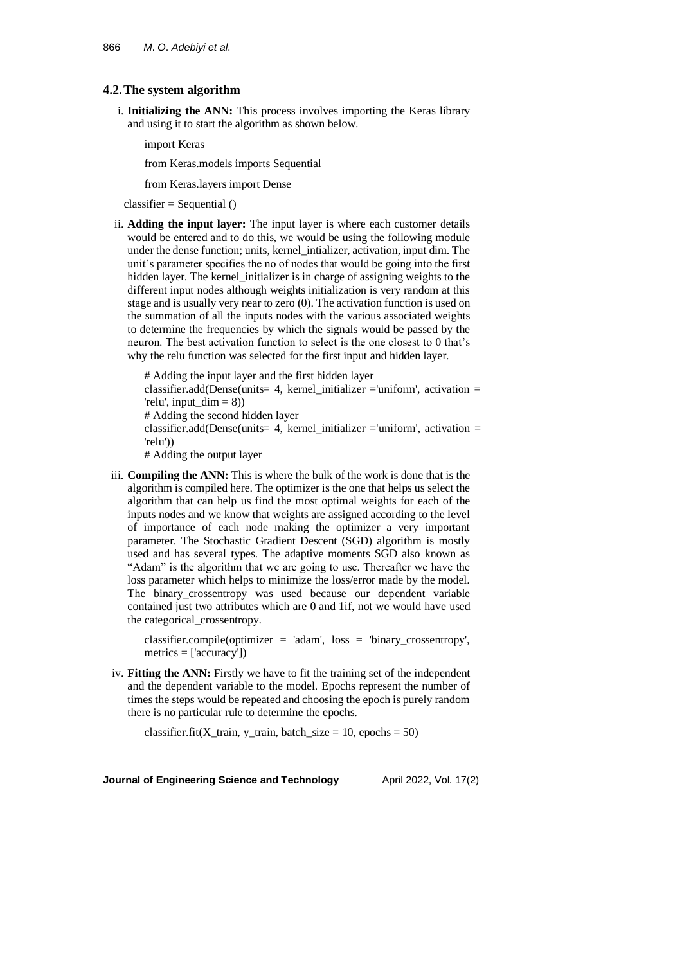### **4.2.The system algorithm**

i. **Initializing the ANN:** This process involves importing the Keras library and using it to start the algorithm as shown below.

import Keras

from Keras.models imports Sequential

from Keras.layers import Dense

 $classifier = Sequential()$ 

ii. **Adding the input layer:** The input layer is where each customer details would be entered and to do this, we would be using the following module under the dense function; units, kernel\_intializer, activation, input dim. The unit's parameter specifies the no of nodes that would be going into the first hidden layer. The kernel\_initializer is in charge of assigning weights to the different input nodes although weights initialization is very random at this stage and is usually very near to zero (0). The activation function is used on the summation of all the inputs nodes with the various associated weights to determine the frequencies by which the signals would be passed by the neuron. The best activation function to select is the one closest to 0 that's why the relu function was selected for the first input and hidden layer.

# Adding the input layer and the first hidden layer classifier.add(Dense(units= 4, kernel initializer ='uniform', activation = 'relu', input  $dim = 8$ )) # Adding the second hidden layer classifier.add(Dense(units= 4, kernel\_initializer ='uniform', activation = 'relu')) # Adding the output layer

iii. **Compiling the ANN:** This is where the bulk of the work is done that is the algorithm is compiled here. The optimizer is the one that helps us select the algorithm that can help us find the most optimal weights for each of the inputs nodes and we know that weights are assigned according to the level of importance of each node making the optimizer a very important parameter. The Stochastic Gradient Descent (SGD) algorithm is mostly used and has several types. The adaptive moments SGD also known as "Adam" is the algorithm that we are going to use. Thereafter we have the loss parameter which helps to minimize the loss/error made by the model. The binary\_crossentropy was used because our dependent variable contained just two attributes which are 0 and 1if, not we would have used the categorical\_crossentropy.

classifier.compile(optimizer = 'adam', loss = 'binary\_crossentropy', metrics = ['accuracy'])

iv. **Fitting the ANN:** Firstly we have to fit the training set of the independent and the dependent variable to the model. Epochs represent the number of times the steps would be repeated and choosing the epoch is purely random there is no particular rule to determine the epochs.

classifier.fit(X\_train, y\_train, batch\_size = 10, epochs = 50)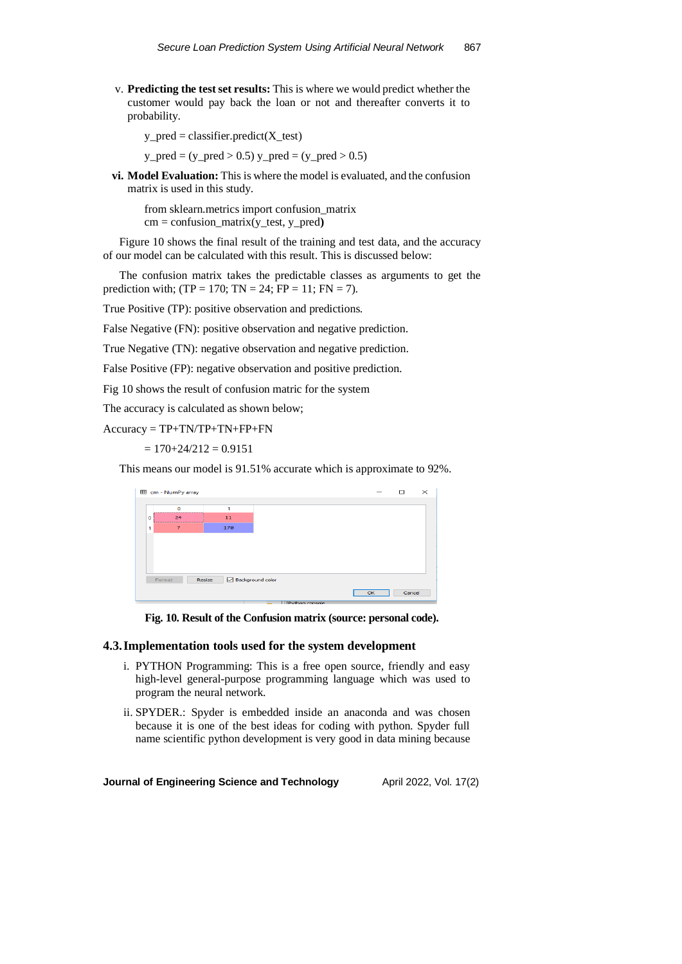v. **Predicting the test set results:** This is where we would predict whether the customer would pay back the loan or not and thereafter converts it to probability.

 $y$  pred = classifier.predict( $X$  test)

 $y_{pred} = (y_{pred} > 0.5) y_{pred} = (y_{pred} > 0.5)$ 

**vi. Model Evaluation:** This is where the model is evaluated, and the confusion matrix is used in this study.

from sklearn.metrics import confusion\_matrix  $cm =$  confusion matrix(y test, y pred)

Figure 10 shows the final result of the training and test data, and the accuracy of our model can be calculated with this result. This is discussed below:

The confusion matrix takes the predictable classes as arguments to get the prediction with; (TP = 170; TN = 24; FP = 11; FN = 7).

True Positive (TP): positive observation and predictions.

False Negative (FN): positive observation and negative prediction.

True Negative (TN): negative observation and negative prediction.

False Positive (FP): negative observation and positive prediction.

Fig 10 shows the result of confusion matric for the system

The accuracy is calculated as shown below;

Accuracy = TP+TN/TP+TN+FP+FN

 $= 170 + 24/212 = 0.9151$ 

This means our model is 91.51% accurate which is approximate to 92%.

|   | E cm - NumPy array |                            |  |    | п      | $\times$ |
|---|--------------------|----------------------------|--|----|--------|----------|
|   |                    |                            |  |    |        |          |
|   | $\Omega$           | 1                          |  |    |        |          |
| Ō | 24                 | 11                         |  |    |        |          |
| 1 | 7                  | 170                        |  |    |        |          |
|   |                    |                            |  |    |        |          |
|   |                    |                            |  |    |        |          |
|   |                    |                            |  |    |        |          |
|   |                    |                            |  |    |        |          |
|   | Format             | Background color<br>Resize |  |    |        |          |
|   |                    |                            |  | OK | Cancel |          |

**Fig. 10. Result of the Confusion matrix (source: personal code).**

### **4.3.Implementation tools used for the system development**

- i. PYTHON Programming: This is a free open source, friendly and easy high-level general-purpose programming language which was used to program the neural network.
- ii. SPYDER.: Spyder is embedded inside an anaconda and was chosen because it is one of the best ideas for coding with python. Spyder full name scientific python development is very good in data mining because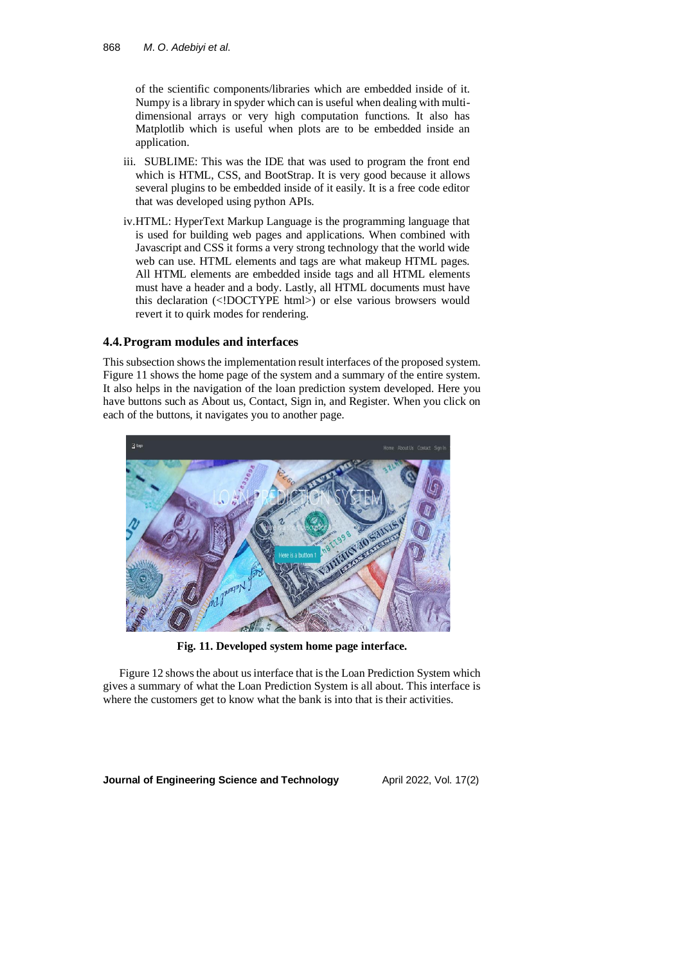of the scientific components/libraries which are embedded inside of it. Numpy is a library in spyder which can is useful when dealing with multidimensional arrays or very high computation functions. It also has Matplotlib which is useful when plots are to be embedded inside an application.

- iii. SUBLIME: This was the IDE that was used to program the front end which is HTML, CSS, and BootStrap. It is very good because it allows several plugins to be embedded inside of it easily. It is a free code editor that was developed using python APIs.
- iv.HTML: HyperText Markup Language is the programming language that is used for building web pages and applications. When combined with Javascript and CSS it forms a very strong technology that the world wide web can use. HTML elements and tags are what makeup HTML pages. All HTML elements are embedded inside tags and all HTML elements must have a header and a body. Lastly, all HTML documents must have this declaration (<!DOCTYPE html>) or else various browsers would revert it to quirk modes for rendering.

### **4.4.Program modules and interfaces**

This subsection shows the implementation result interfaces of the proposed system. Figure 11 shows the home page of the system and a summary of the entire system. It also helps in the navigation of the loan prediction system developed. Here you have buttons such as About us, Contact, Sign in, and Register. When you click on each of the buttons, it navigates you to another page.



**Fig. 11. Developed system home page interface.**

Figure 12 shows the about us interface that is the Loan Prediction System which gives a summary of what the Loan Prediction System is all about. This interface is where the customers get to know what the bank is into that is their activities.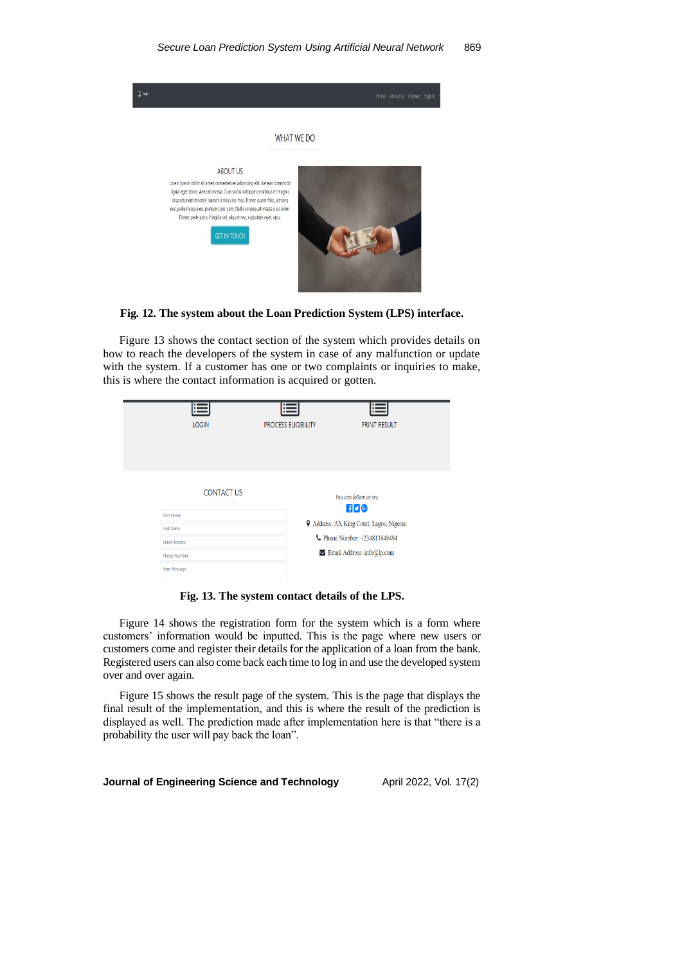

#### **Fig. 12. The system about the Loan Prediction System (LPS) interface.**

Figure 13 shows the contact section of the system which provides details on how to reach the developers of the system in case of any malfunction or update with the system. If a customer has one or two complaints or inquiries to make, this is where the contact information is acquired or gotten.

| 巪                                                                                                                         | ⊫                          | F                                                                                                                                                      |
|---------------------------------------------------------------------------------------------------------------------------|----------------------------|--------------------------------------------------------------------------------------------------------------------------------------------------------|
| <b>LOGIN</b>                                                                                                              | <b>PROCESS ELIGIBILITY</b> | <b>PRINT RESULT</b>                                                                                                                                    |
| <b>CONTACT US</b><br><b>First Name</b><br><b>Last Name</b><br><b>Email Address</b><br><b>Phone Number</b><br>Your Message |                            | You can follow us on:<br>f(v)<br><b>9</b> Address: A5, King Court, Lagos, Nigeria.<br>Phone Number: +234813849494<br>$\vee$ Email Address: info@lp.com |

**Fig. 13. The system contact details of the LPS.**

Figure 14 shows the registration form for the system which is a form where customers' information would be inputted. This is the page where new users or customers come and register their details for the application of a loan from the bank. Registered users can also come back each time to log in and use the developed system over and over again.

Figure 15 shows the result page of the system. This is the page that displays the final result of the implementation, and this is where the result of the prediction is displayed as well. The prediction made after implementation here is that "there is a probability the user will pay back the loan".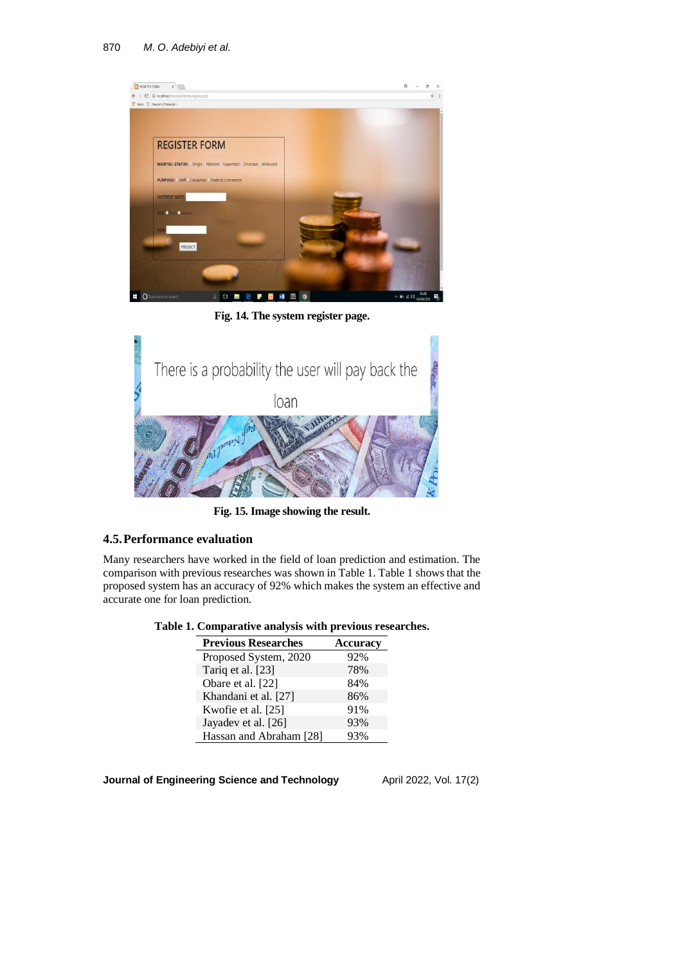

**Fig. 14. The system register page.**



**Fig. 15. Image showing the result.**

## **4.5.Performance evaluation**

Many researchers have worked in the field of loan prediction and estimation. The comparison with previous researches was shown in Table 1. Table 1 shows that the proposed system has an accuracy of 92% which makes the system an effective and accurate one for loan prediction.

**Table 1. Comparative analysis with previous researches.**

| <b>Previous Researches</b> | <b>Accuracy</b> |
|----------------------------|-----------------|
| Proposed System, 2020      | 92%             |
| Tariq et al. [23]          | 78%             |
| Obare et al. [22]          | 84%             |
| Khandani et al. [27]       | 86%             |
| Kwofie et al. [25]         | 91%             |
| Jayadev et al. [26]        | 93%             |
| Hassan and Abraham [28]    | 93%             |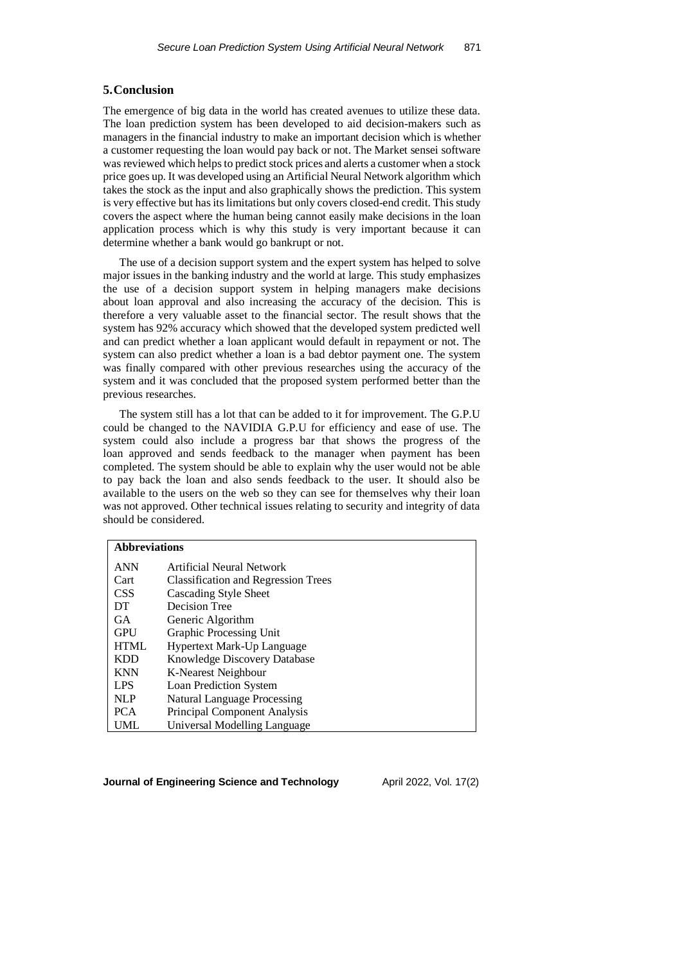### **5.Conclusion**

The emergence of big data in the world has created avenues to utilize these data. The loan prediction system has been developed to aid decision-makers such as managers in the financial industry to make an important decision which is whether a customer requesting the loan would pay back or not. The Market sensei software was reviewed which helps to predict stock prices and alerts a customer when a stock price goes up. It was developed using an Artificial Neural Network algorithm which takes the stock as the input and also graphically shows the prediction. This system is very effective but has its limitations but only covers closed-end credit. This study covers the aspect where the human being cannot easily make decisions in the loan application process which is why this study is very important because it can determine whether a bank would go bankrupt or not.

The use of a decision support system and the expert system has helped to solve major issues in the banking industry and the world at large. This study emphasizes the use of a decision support system in helping managers make decisions about loan approval and also increasing the accuracy of the decision. This is therefore a very valuable asset to the financial sector. The result shows that the system has 92% accuracy which showed that the developed system predicted well and can predict whether a loan applicant would default in repayment or not. The system can also predict whether a loan is a bad debtor payment one. The system was finally compared with other previous researches using the accuracy of the system and it was concluded that the proposed system performed better than the previous researches.

The system still has a lot that can be added to it for improvement. The G.P.U could be changed to the NAVIDIA G.P.U for efficiency and ease of use. The system could also include a progress bar that shows the progress of the loan approved and sends feedback to the manager when payment has been completed. The system should be able to explain why the user would not be able to pay back the loan and also sends feedback to the user. It should also be available to the users on the web so they can see for themselves why their loan was not approved. Other technical issues relating to security and integrity of data should be considered.

| <b>Abbreviations</b> |                                            |  |  |  |
|----------------------|--------------------------------------------|--|--|--|
| <b>ANN</b>           | Artificial Neural Network                  |  |  |  |
| Cart                 | <b>Classification and Regression Trees</b> |  |  |  |
| <b>CSS</b>           | Cascading Style Sheet                      |  |  |  |
| DT                   | Decision Tree                              |  |  |  |
| <b>GA</b>            | Generic Algorithm                          |  |  |  |
| <b>GPU</b>           | Graphic Processing Unit                    |  |  |  |
| <b>HTML</b>          | <b>Hypertext Mark-Up Language</b>          |  |  |  |
| <b>KDD</b>           | <b>Knowledge Discovery Database</b>        |  |  |  |
| <b>KNN</b>           | K-Nearest Neighbour                        |  |  |  |
| <b>LPS</b>           | Loan Prediction System                     |  |  |  |
| <b>NLP</b>           | Natural Language Processing                |  |  |  |
| <b>PCA</b>           | Principal Component Analysis               |  |  |  |
| UML                  | Universal Modelling Language               |  |  |  |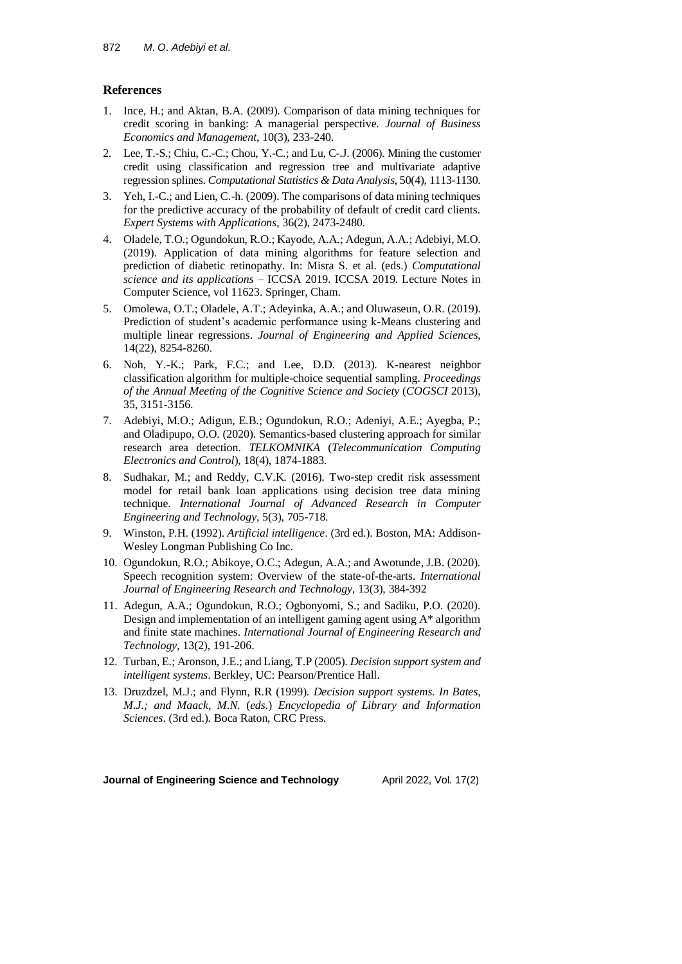## **References**

- 1. Ince, H.; and Aktan, B.A. (2009). Comparison of data mining techniques for credit scoring in banking: A managerial perspective. *Journal of Business Economics and Management*, 10(3), 233-240.
- 2. Lee, T.-S.; Chiu, C.-C.; Chou, Y.-C.; and Lu, C-.J. (2006). Mining the customer credit using classification and regression tree and multivariate adaptive regression splines. *Computational Statistics & Data Analysis*, 50(4), 1113-1130.
- 3. Yeh, I.-C.; and Lien, C.-h. (2009). The comparisons of data mining techniques for the predictive accuracy of the probability of default of credit card clients. *Expert Systems with Applications*, 36(2), 2473-2480.
- 4. Oladele, T.O.; Ogundokun, R.O.; Kayode, A.A.; Adegun, A.A.; Adebiyi, M.O. (2019). Application of data mining algorithms for feature selection and prediction of diabetic retinopathy. In: Misra S. et al. (eds.) *Computational science and its applications* – ICCSA 2019. ICCSA 2019. Lecture Notes in Computer Science, vol 11623. Springer, Cham.
- 5. Omolewa, O.T.; Oladele, A.T.; Adeyinka, A.A.; and Oluwaseun, O.R. (2019). Prediction of student's academic performance using k-Means clustering and multiple linear regressions. *Journal of Engineering and Applied Sciences*, 14(22), 8254-8260.
- 6. Noh, Y.-K.; Park, F.C.; and Lee, D.D. (2013). K-nearest neighbor classification algorithm for multiple-choice sequential sampling. *Proceedings of the Annual Meeting of the Cognitive Science and Society* (*COGSCI* 2013), 35, 3151-3156.
- 7. Adebiyi, M.O.; Adigun, E.B.; Ogundokun, R.O.; Adeniyi, A.E.; Ayegba, P.; and Oladipupo, O.O. (2020). Semantics-based clustering approach for similar research area detection. *TELKOMNIKA* (*Telecommunication Computing Electronics and Control*), 18(4), 1874-1883.
- 8. Sudhakar, M.; and Reddy, C.V.K. (2016). Two-step credit risk assessment model for retail bank loan applications using decision tree data mining technique. *International Journal of Advanced Research in Computer Engineering and Technology*, 5(3), 705-718.
- 9. Winston, P.H. (1992). *Artificial intelligence*. (3rd ed.). Boston, MA: Addison-Wesley Longman Publishing Co Inc.
- 10. Ogundokun, R.O.; Abikoye, O.C.; Adegun, A.A.; and Awotunde, J.B. (2020). Speech recognition system: Overview of the state-of-the-arts. *International Journal of Engineering Research and Technology*, 13(3), 384-392
- 11. Adegun, A.A.; Ogundokun, R.O.; Ogbonyomi, S.; and Sadiku, P.O. (2020). Design and implementation of an intelligent gaming agent using A\* algorithm and finite state machines. *International Journal of Engineering Research and Technology*, 13(2), 191-206.
- 12. Turban, E.; Aronson, J.E.; and Liang, T.P (2005). *Decision support system and intelligent systems*. Berkley, UC: Pearson/Prentice Hall.
- 13. Druzdzel, M.J.; and Flynn, R.R (1999). *Decision support systems*. *In Bates*, *M*.*J*.*; and Maack*, *M*.*N*. (*eds*.) *Encyclopedia of Library and Information Sciences*. (3rd ed.). Boca Raton, CRC Press.